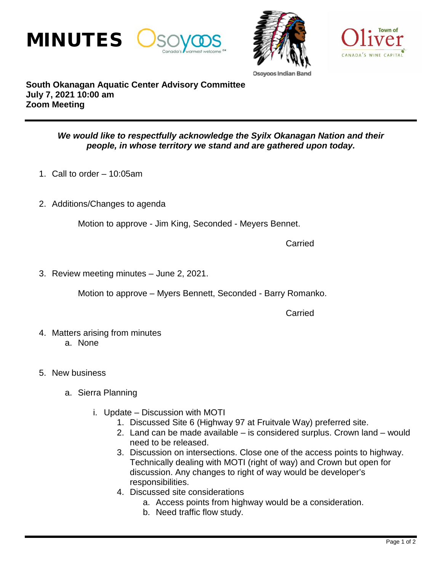



Osovoos Indi:



**South Okanagan Aquatic Center Advisory Committee July 7, 2021 10:00 am Zoom Meeting**

## *We would like to respectfully acknowledge the Syilx Okanagan Nation and their people, in whose territory we stand and are gathered upon today.*

- 1. Call to order 10:05am
- 2. Additions/Changes to agenda

Motion to approve - Jim King, Seconded - Meyers Bennet.

Carried

3. Review meeting minutes – June 2, 2021.

Motion to approve – Myers Bennett, Seconded - Barry Romanko.

**Carried** 

- 4. Matters arising from minutes a. None
- 5. New business
	- a. Sierra Planning
		- i. Update Discussion with MOTI
			- 1. Discussed Site 6 (Highway 97 at Fruitvale Way) preferred site.
			- 2. Land can be made available is considered surplus. Crown land would need to be released.
			- 3. Discussion on intersections. Close one of the access points to highway. Technically dealing with MOTI (right of way) and Crown but open for discussion. Any changes to right of way would be developer's responsibilities.
			- 4. Discussed site considerations
				- a. Access points from highway would be a consideration.
				- b. Need traffic flow study.